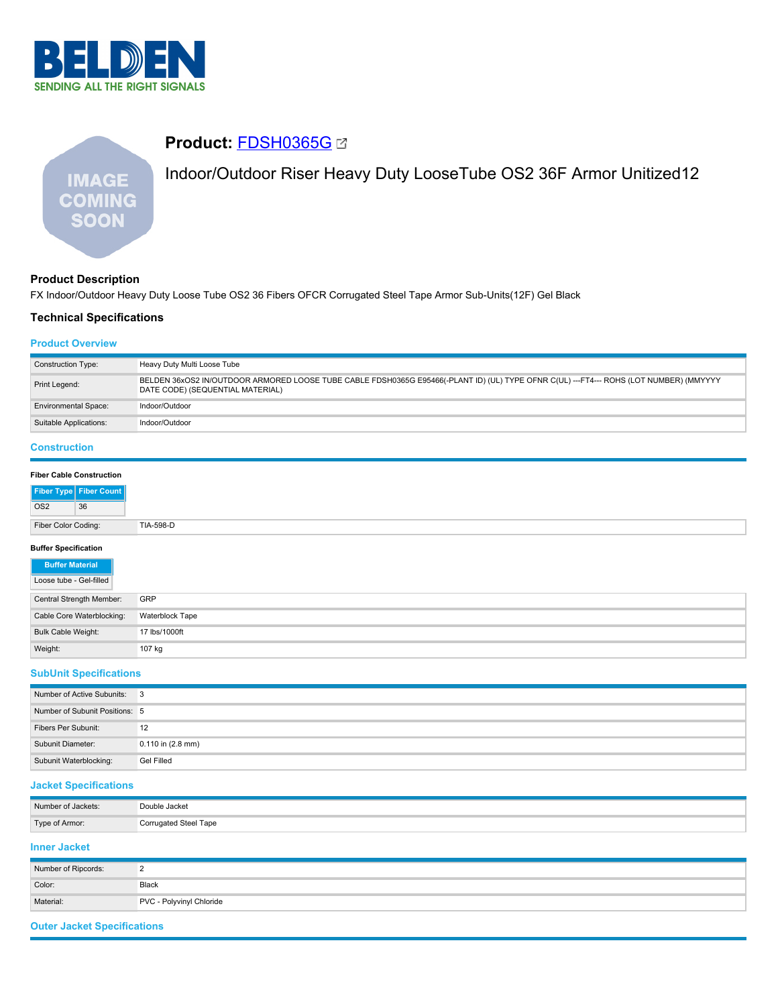

# **Product:** [FDSH0365G](https://catalog.belden.com/index.cfm?event=pd&p=PF_FDSH0365G&tab=downloads) Indoor/Outdoor Riser Heavy Duty LooseTube OS2 36F Armor Unitized12 **IMAGE COMING SOON**

# **Product Description**

FX Indoor/Outdoor Heavy Duty Loose Tube OS2 36 Fibers OFCR Corrugated Steel Tape Armor Sub-Units(12F) Gel Black

# **Technical Specifications**

# **Product Overview**

| <b>Construction Type:</b>   | Heavy Duty Multi Loose Tube                                                                                                                                                |  |  |
|-----------------------------|----------------------------------------------------------------------------------------------------------------------------------------------------------------------------|--|--|
| Print Legend:               | BELDEN 36xOS2 IN/OUTDOOR ARMORED LOOSE TUBE CABLE FDSH0365G E95466(-PLANT ID) (UL) TYPE OFNR C(UL) ---FT4--- ROHS (LOT NUMBER) (MMYYYY<br>DATE CODE) (SEQUENTIAL MATERIAL) |  |  |
| <b>Environmental Space:</b> | Indoor/Outdoor                                                                                                                                                             |  |  |
| Suitable Applications:      | Indoor/Outdoor                                                                                                                                                             |  |  |

# **Construction**

### **Buffer Specification**

| <b>Buffer Material</b>    |                 |  |  |  |  |
|---------------------------|-----------------|--|--|--|--|
| Loose tube - Gel-filled   |                 |  |  |  |  |
| Central Strength Member:  | GRP             |  |  |  |  |
| Cable Core Waterblocking: | Waterblock Tape |  |  |  |  |
| Bulk Cable Weight:        | 17 lbs/1000ft   |  |  |  |  |
| Weight:                   | 107 kg          |  |  |  |  |

### **SubUnit Specifications**

| Number of Active Subunits: 3   |                       |
|--------------------------------|-----------------------|
| Number of Subunit Positions: 5 |                       |
| Fibers Per Subunit:            | 12                    |
| Subunit Diameter:              | $0.110$ in $(2.8$ mm) |
| Subunit Waterblocking:         | Gel Filled            |

## **Jacket Specifications**

| Number of Jackets: | Double Jacket         |  |
|--------------------|-----------------------|--|
| Type of Armor:     | Corrugated Steel Tape |  |

# **Inner Jacket**

| Number of Ripcords: |                          |
|---------------------|--------------------------|
| Color:<br>Black     |                          |
| Material:           | PVC - Polyvinyl Chloride |

## **Outer Jacket Specifications**